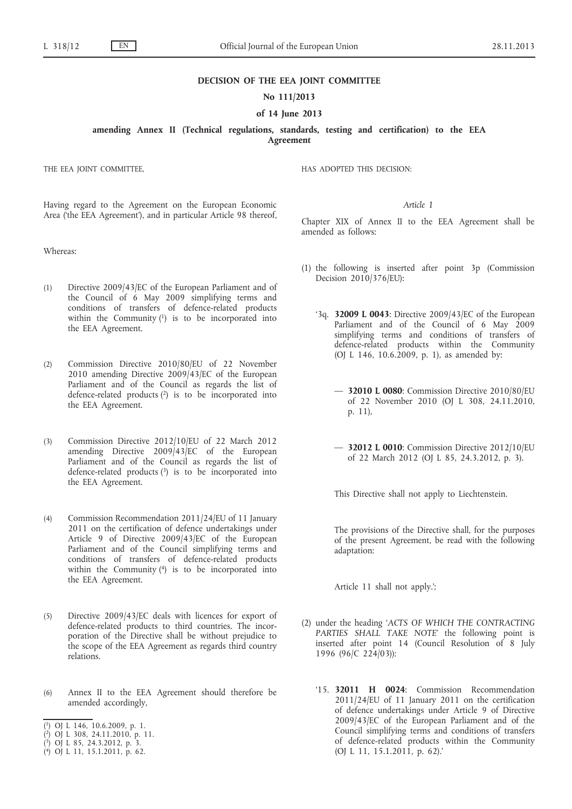#### **DECISION OF THE EEA JOINT COMMITTEE**

### **No 111/2013**

#### **of 14 June 2013**

**amending Annex II (Technical regulations, standards, testing and certification) to the EEA Agreement**

THE EEA JOINT COMMITTEE,

Having regard to the Agreement on the European Economic Area ('the EEA Agreement'), and in particular Article 98 thereof,

Whereas:

- (1) Directive 2009/43/EC of the European Parliament and of the Council of 6 May 2009 simplifying terms and conditions of transfers of defence-related products within the Community (1) is to be incorporated into the EEA Agreement.
- (2) Commission Directive 2010/80/EU of 22 November 2010 amending Directive 2009/43/EC of the European Parliament and of the Council as regards the list of defence-related products  $(2)$  is to be incorporated into the EEA Agreement.
- (3) Commission Directive 2012/10/EU of 22 March 2012 amending Directive 2009/43/EC of the European Parliament and of the Council as regards the list of defence-related products (3) is to be incorporated into the EEA Agreement.
- (4) Commission Recommendation 2011/24/EU of 11 January 2011 on the certification of defence undertakings under Article 9 of Directive 2009/43/EC of the European Parliament and of the Council simplifying terms and conditions of transfers of defence-related products within the Community (4) is to be incorporated into the EEA Agreement.
- (5) Directive 2009/43/EC deals with licences for export of defence-related products to third countries. The incorporation of the Directive shall be without prejudice to the scope of the EEA Agreement as regards third country relations.
- (6) Annex II to the EEA Agreement should therefore be amended accordingly,
- ( 1) OJ L 146, 10.6.2009, p. 1.

- ( 3) OJ L 85, 24.3.2012, p. 3.
- ( 4) OJ L 11, 15.1.2011, p. 62.

HAS ADOPTED THIS DECISION:

### *Article 1*

Chapter XIX of Annex II to the EEA Agreement shall be amended as follows:

- (1) the following is inserted after point 3p (Commission Decision 2010/376/EU):
	- '3q. **32009 L 0043**: Directive 2009/43/EC of the European Parliament and of the Council of 6 May 2009 simplifying terms and conditions of transfers of defence-related products within the Community (OJ L 146, 10.6.2009, p. 1), as amended by:
		- — **32010 L 0080**: Commission Directive 2010/80/EU of 22 November 2010 (OJ L 308, 24.11.2010, p. 11),
		- — **32012 L 0010**: Commission Directive 2012/10/EU of 22 March 2012 (OJ L 85, 24.3.2012, p. 3).

This Directive shall not apply to Liechtenstein.

The provisions of the Directive shall, for the purposes of the present Agreement, be read with the following adaptation:

Article 11 shall not apply.';

- (2) under the heading '*ACTS OF WHICH THE CONTRACTING PARTIES SHALL TAKE NOTE*' the following point is inserted after point 14 (Council Resolution of 8 July 1996 (96/C 224/03)):
	- '15. **32011 H 0024**: Commission Recommendation 2011/24/EU of 11 January 2011 on the certification of defence undertakings under Article 9 of Directive 2009/43/EC of the European Parliament and of the Council simplifying terms and conditions of transfers of defence-related products within the Community (OJ L 11, 15.1.2011, p. 62).'

<sup>(</sup> 2) OJ L 308, 24.11.2010, p. 11.